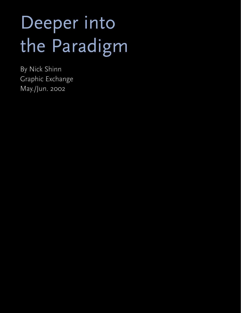## Deeper into the Paradigm

By Nick Shinn Graphic Exchange May./Jun. 2002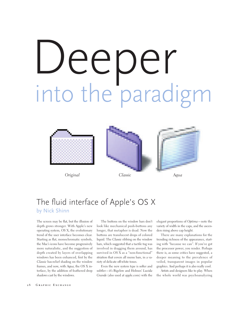# Deeper into the paradigm



*Original Aqua*





#### The fluid interface of Apple's OS X by Nick Shinn

The screen may be flat, but the illusion of depth grows stronger. With Apple's new operating system, OS X, the evolutionary trend of the user interface becomes clear. Starting as flat, monochromatic symbols, the Mac's icons have become progressively more naturalistic, and the suggestion of depth created by layers of overlapping windows has been enhanced, first by the *Classic* bas-relief shading on the window frames, and now, with *Aqua,* the OS X interface, by the addition of feathered drop shadows cast by the windows.

The buttons on the window bars don't look like mechanical push-buttons any longer, that metaphor is dead. Now the buttons are translucent drops of colored liquid. The *Classic* ribbing on the window bars, which suggested that a tactile tug was involved in dragging them around, has survived in OS X as a "non-functional" striation that covers all menu bars, in a variety of delicate off-white tones.

Even the new system type is softer and subtler—it's Bigelow and Holmes' *Lucida Grande* (also used at apple.com) with the

elegant proportions of *Optima*—note the variety of width in the caps, and the ascenders rising above cap height.

There are many explanations for the trending richness of the appearance, starting with "because we can". If you've got the processor power, you render. Perhaps there is, as some critics have suggested, a deeper meaning to the prevalence of veiled, transparent images in popular graphics. And perhaps it is also really cool.

Artists and designers like to play. When the whole world was psychoanalyzing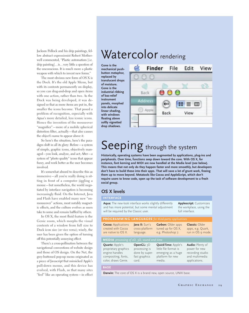Jackson Pollock and his drip paintings, fellow abstract expressionist Robert Motherwell commented, "Plastic automatism [i.e. drip painting]…is…very little a question of the unconscious. It is much more a plastic weapon with which to invent new forms."

The most obvious new form of OS X is the Dock. It's the old Apple Menu, but with its contents permanently on display, so you can drag-and-drop and open items with one action, rather than two. As the Dock was being developed, it was designed so that as more items are put in, the smaller the icons become. That posed a problem of recognition, especially with *Aqua*'s more detailed, less iconic icons. Hence the invention of the mouseover "magnifier"—more of a mobile spherical distortion filter, actually—that also causes the object's name to appear above it.

So here's the situation, here's the paradigm shift in all its glory: Before—a system of simple, graphic icons, objectively managed—you look, analyze, and act; After—a system of "photo quality" icons that appear fuzzy, and work better as the user becomes involved.

It's somewhat absurd to describe this as immersive—all you're really doing is sitting in front of a computer jiggling a mouse—but nonetheless, the world negotiated by interface navigation is becoming increasingly fluid. On the Internet, Java and Flash have enabled many new "onmouseover" actions, most notably magnetic effects, and the culture evolves as users take to some and remain baffled by others.

In OS X, the most fluid feature is the Genie zoom, which morphs the visual contents of a window from full size to Dock icon size (or vice versa); wisely, the user has been given the option of turning off this potentially annoying effect.

There's a cross-pollination between the navigational conventions of website design and those of OS design. On the Net, the grey-buttoned pop-up menu originated as a piece of Javascript that mimicked Apple's pull-down menus, and this device has evolved, with Flash, so that many sites "feel" like an operating system—in effect

## Watercolor rendering

**Gone is the mechanical pushbutton metaphor, replaced by translucent drops of moisture. Gone is the industrial ribbing of bas-relief instrument panels, morphed into delicate linear shading, with windows floating above softly vignetted drop shadows.** 



## Seeping through the system

**Historically, operating systems have been augmented by applications, plug-ins and peripherals. Over time, functions seep down toward the core. With OS X, for instance, font kerning and MIDI are now handled at the Media level (see below). This means that not only do they happen faster and more smoothly, but developers don't have to build these into their apps. That will save a lot of grunt work, freeing them up to move beyond. Metatools like Cocoa and AppleScript, which don't require users to know code, open up the task of software development to a fresh social group.** 

#### **OS X levels**

#### **interface**

**Aqua:** The new-look interface works slightly differently and has more potential, but some mental adjustment will be required by the Classic user.

**Applescript:** Customizes the workplace, using the full interface.

#### **programming languages** *for third-party applications*

**Cocoa:** Applications created with Cocoa are native to OS X.

**Java II:** Sun's cross-platform language.

**Carbon:** Older apps tuned up for OS X, e.g. Photoshop 7.

**Classic:** Older apps, e.g. Quark, run in OS 9 mode.

#### **media** *processing of 2D, 3D, sound and time*

**Quartz:** Apple's proprietary graphics engine handles compositing, fonts, color, draws Genie.

**OpenGL:** 3D processing is done by superfast graphics card.

**QuickTime:** Apple's little file format is emerging as a huge platform for new media.

**Audio:** Plenty of power for new recording studio and multimedia applications.

#### **base**

**Darwin:** The core of OS X is a brand new, open source, UNIX base.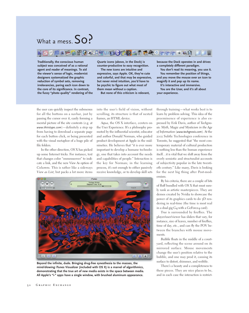## What a mess.  $SO$ ?



**Traditionally, the conscious human subject was conceived of as a rational agent and reader of meanings. To aid the viewer's sense of logic, modernist designers systematized the graphic reduction of symbol sets, removing irrelevancies, paring each icon down to the core of its significance. In contrast, the fussy "photo quality" rendering of the** **Quartz icons (above, in the Dock) is counter-productive to easy recognition.**

**The new icons are intuitive and expressive, says Apple. OK, they're cute and colorful, and that may be expressive, but never mind intuition, you'd have to be psychic to figure out what most of them mean without a caption.**

**But none of this criticism is relevant,**

**because the Dock operates in and drives a completely different paradigm.** 

**You don't read its meaning, you use it. You remember the position of things, and you move the mouse over an icon to magnify it and pop up its name.** 

**It's interactive and immersive.**

**You are the User, and it's all about your experience.**

the user can quickly inspect the submenus for all the buttons on a navbar, just by passing the cursor over it, easily forming a mental picture of the site contents (e.g. at *www.thirstype.com*)—definitely a step up from having to download a separate page for each button click, or being presented with the visual metaphor of a huge pile of file folders.

In the other direction, OS X has picked up some Internet tricks. For instance, text that changes color "onmouseover" to indicate a link, and the new *View As* option of *Columns.* This is rather like a sideways *View as List,* but packs a lot more items

into the user's field of vision, without scrolling; its structure is that of nested frames, an HTML device.

*Aqua,* the OS X interface, centers on the User Experience. It's a philosophy promoted by the influential scientist, educator and author Donald Norman, who guided product development at Apple in the midnineties. He believes that "it is ever more important to develop a humane technology, one that takes into account the needs and capabilities of people." Interaction is the key for Norman; in the learning process, it's not enough to either passively receive knowledge, or to develop skill sets



**Beyond the infinite, dude. Bringing drug-free synesthesia to the masses, the mind-blowing iTunes Visualizer (included with OS X) is a marvel of algorithmics, demonstrating that the true art of new media exists in the space between media. All Apple's "i-" apps have a single window, with brushed aluminum appearance.**

through training—what works best is to learn by problem solving. This idea of the preeminence of experience is also expressed by Erik Davis, author of *Techgnosis: Myth, Magic and Mysticism in the Age of Information* (*www.techgnosis.com*). At the 2002 Subtle Technologies conference in Toronto, he suggested that "the most contemporary material of cultural production is nothing less than the human experience itself…it is vital that we shift away from the overly semiotic and structuralist accounts of subjectivity popular in the late twentieth century." Like many, Davis is looking for the next big thing after Post-modernism.

By his criteria, there are a couple of bits of fluff bundled with OS X that must surely rank as artistic masterpieces. They are demos created by Nvidia to showcase the power of its graphics cards to do 3D rendering in real-time (the time is most real in a dual gig G4 with a GeForce4 card).

*Tree* is surrounded by fireflies. The player/user/viewer has sliders that vary, for instance, size of leaves, number of fireflies, time of day, etc., and can fly the POV between the branches with mouse movements.

*Bubble* floats in the middle of a courtyard, reflecting the scene around on its mirrored surface. Mouse movements change the user's position relative to the bubble, and one may prod it, causing its surface to distort, shimmer, and wobble.

There's a beauty and a completeness to these pieces. They are nice places to be, and in each case the interaction is restrict-